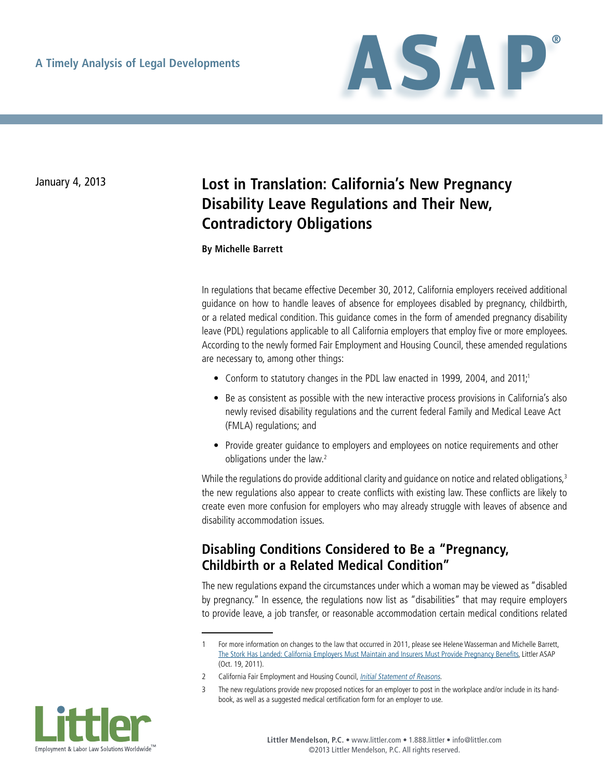

# January 4, 2013 **Lost in Translation: California's New Pregnancy Disability Leave Regulations and Their New, Contradictory Obligations**

**By Michelle Barrett**

In regulations that became effective December 30, 2012, California employers received additional guidance on how to handle leaves of absence for employees disabled by pregnancy, childbirth, or a related medical condition. This guidance comes in the form of amended pregnancy disability leave (PDL) regulations applicable to all California employers that employ five or more employees. According to the newly formed Fair Employment and Housing Council, these amended regulations are necessary to, among other things:

- Conform to statutory changes in the PDL law enacted in 1999, 2004, and 2011;<sup>1</sup>
- Be as consistent as possible with the new interactive process provisions in California's also newly revised disability regulations and the current federal Family and Medical Leave Act (FMLA) regulations; and
- Provide greater guidance to employers and employees on notice requirements and other obligations under the law.<sup>2</sup>

While the regulations do provide additional clarity and guidance on notice and related obligations,<sup>3</sup> the new regulations also appear to create conflicts with existing law. These conflicts are likely to create even more confusion for employers who may already struggle with leaves of absence and disability accommodation issues.

## **Disabling Conditions Considered to Be a "Pregnancy, Childbirth or a Related Medical Condition"**

The new regulations expand the circumstances under which a woman may be viewed as "disabled by pregnancy." In essence, the regulations now list as "disabilities" that may require employers to provide leave, a job transfer, or reasonable accommodation certain medical conditions related

The new regulations provide new proposed notices for an employer to post in the workplace and/or include in its handbook, as well as a suggested medical certification form for an employer to use.



<sup>1</sup> For more information on changes to the law that occurred in 2011, please see Helene Wasserman and Michelle Barrett, [The Stork Has Landed: California Employers Must Maintain and Insurers Must Provide Pregnancy Benefits,](http://www.littler.com/publication-press/publication/stork-has-landed-california-employers-must-maintain-and-insurers-must-) Littler ASAP (Oct. 19, 2011).

<sup>2</sup> California Fair Employment and Housing Council, [Initial Statement of Reasons](http://www.dfeh.ca.gov/res/docs/FEHC%20Pregnancy%20Regs/Initial_Statement_of_Reasons_Preg.pdf).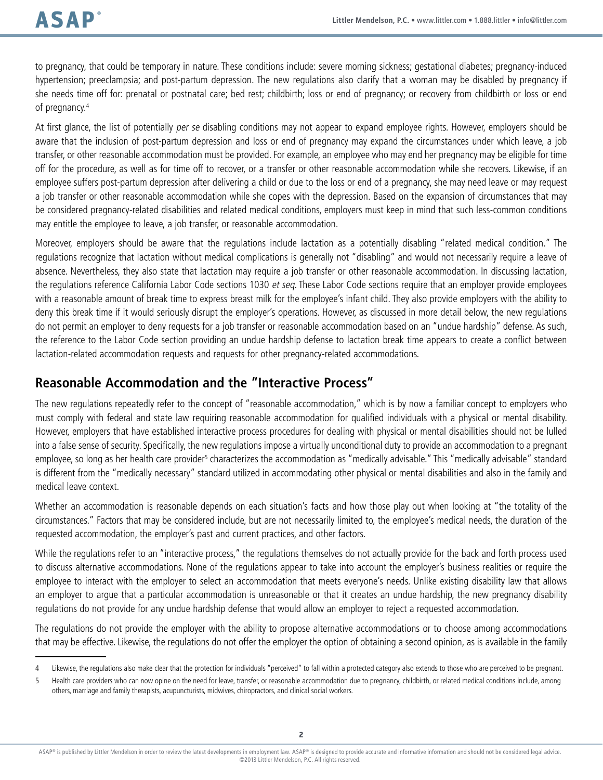to pregnancy, that could be temporary in nature. These conditions include: severe morning sickness; gestational diabetes; pregnancy-induced hypertension; preeclampsia; and post-partum depression. The new regulations also clarify that a woman may be disabled by pregnancy if she needs time off for: prenatal or postnatal care; bed rest; childbirth; loss or end of pregnancy; or recovery from childbirth or loss or end of pregnancy.4

At first glance, the list of potentially *per se* disabling conditions may not appear to expand employee rights. However, employers should be aware that the inclusion of post-partum depression and loss or end of pregnancy may expand the circumstances under which leave, a job transfer, or other reasonable accommodation must be provided. For example, an employee who may end her pregnancy may be eligible for time off for the procedure, as well as for time off to recover, or a transfer or other reasonable accommodation while she recovers. Likewise, if an employee suffers post-partum depression after delivering a child or due to the loss or end of a pregnancy, she may need leave or may request a job transfer or other reasonable accommodation while she copes with the depression. Based on the expansion of circumstances that may be considered pregnancy-related disabilities and related medical conditions, employers must keep in mind that such less-common conditions may entitle the employee to leave, a job transfer, or reasonable accommodation.

Moreover, employers should be aware that the regulations include lactation as a potentially disabling "related medical condition." The regulations recognize that lactation without medical complications is generally not "disabling" and would not necessarily require a leave of absence. Nevertheless, they also state that lactation may require a job transfer or other reasonable accommodation. In discussing lactation, the regulations reference California Labor Code sections 1030 et seq. These Labor Code sections require that an employer provide employees with a reasonable amount of break time to express breast milk for the employee's infant child. They also provide employers with the ability to deny this break time if it would seriously disrupt the employer's operations. However, as discussed in more detail below, the new regulations do not permit an employer to deny requests for a job transfer or reasonable accommodation based on an "undue hardship" defense. As such, the reference to the Labor Code section providing an undue hardship defense to lactation break time appears to create a conflict between lactation-related accommodation requests and requests for other pregnancy-related accommodations.

#### **Reasonable Accommodation and the "Interactive Process"**

The new regulations repeatedly refer to the concept of "reasonable accommodation," which is by now a familiar concept to employers who must comply with federal and state law requiring reasonable accommodation for qualified individuals with a physical or mental disability. However, employers that have established interactive process procedures for dealing with physical or mental disabilities should not be lulled into a false sense of security. Specifically, the new regulations impose a virtually unconditional duty to provide an accommodation to a pregnant employee, so long as her health care provider<sup>5</sup> characterizes the accommodation as "medically advisable." This "medically advisable" standard is different from the "medically necessary" standard utilized in accommodating other physical or mental disabilities and also in the family and medical leave context.

Whether an accommodation is reasonable depends on each situation's facts and how those play out when looking at "the totality of the circumstances." Factors that may be considered include, but are not necessarily limited to, the employee's medical needs, the duration of the requested accommodation, the employer's past and current practices, and other factors.

While the regulations refer to an "interactive process," the regulations themselves do not actually provide for the back and forth process used to discuss alternative accommodations. None of the regulations appear to take into account the employer's business realities or require the employee to interact with the employer to select an accommodation that meets everyone's needs. Unlike existing disability law that allows an employer to argue that a particular accommodation is unreasonable or that it creates an undue hardship, the new pregnancy disability regulations do not provide for any undue hardship defense that would allow an employer to reject a requested accommodation.

The regulations do not provide the employer with the ability to propose alternative accommodations or to choose among accommodations that may be effective. Likewise, the regulations do not offer the employer the option of obtaining a second opinion, as is available in the family

<sup>4</sup> Likewise, the regulations also make clear that the protection for individuals "perceived" to fall within a protected category also extends to those who are perceived to be pregnant.

<sup>5</sup> Health care providers who can now opine on the need for leave, transfer, or reasonable accommodation due to pregnancy, childbirth, or related medical conditions include, among others, marriage and family therapists, acupuncturists, midwives, chiropractors, and clinical social workers.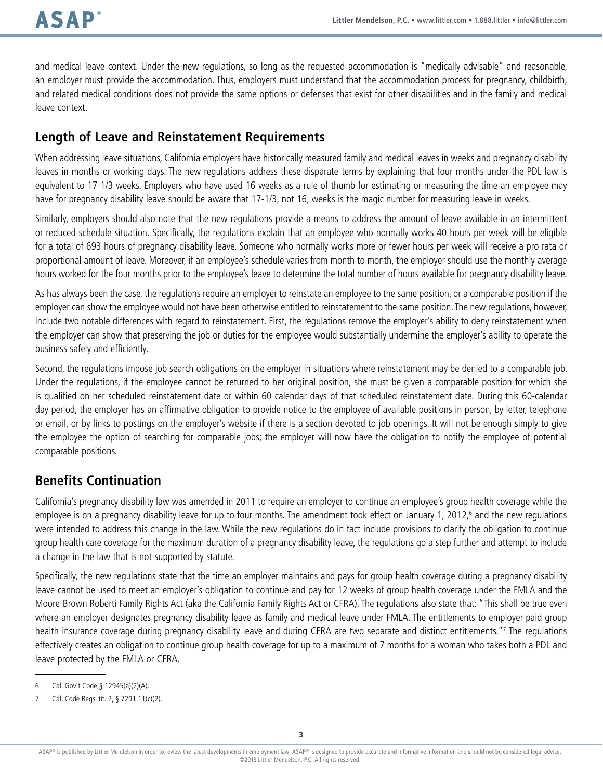and medical leave context. Under the new regulations, so long as the requested accommodation is "medically advisable" and reasonable, an employer must provide the accommodation. Thus, employers must understand that the accommodation process for pregnancy, childbirth, and related medical conditions does not provide the same options or defenses that exist for other disabilities and in the family and medical leave context.

## **Length of Leave and Reinstatement Requirements**

When addressing leave situations, California employers have historically measured family and medical leaves in weeks and pregnancy disability leaves in months or working days. The new regulations address these disparate terms by explaining that four months under the PDL law is equivalent to 17-1/3 weeks. Employers who have used 16 weeks as a rule of thumb for estimating or measuring the time an employee may have for pregnancy disability leave should be aware that 17-1/3, not 16, weeks is the magic number for measuring leave in weeks.

Similarly, employers should also note that the new regulations provide a means to address the amount of leave available in an intermittent or reduced schedule situation. Specifically, the regulations explain that an employee who normally works 40 hours per week will be eligible for a total of 693 hours of pregnancy disability leave. Someone who normally works more or fewer hours per week will receive a pro rata or proportional amount of leave. Moreover, if an employee's schedule varies from month to month, the employer should use the monthly average hours worked for the four months prior to the employee's leave to determine the total number of hours available for pregnancy disability leave.

As has always been the case, the regulations require an employer to reinstate an employee to the same position, or a comparable position if the employer can show the employee would not have been otherwise entitled to reinstatement to the same position. The new regulations, however, include two notable differences with regard to reinstatement. First, the regulations remove the employer's ability to deny reinstatement when the employer can show that preserving the job or duties for the employee would substantially undermine the employer's ability to operate the business safely and efficiently.

Second, the regulations impose job search obligations on the employer in situations where reinstatement may be denied to a comparable job. Under the regulations, if the employee cannot be returned to her original position, she must be given a comparable position for which she is qualified on her scheduled reinstatement date or within 60 calendar days of that scheduled reinstatement date. During this 60-calendar day period, the employer has an affirmative obligation to provide notice to the employee of available positions in person, by letter, telephone or email, or by links to postings on the employer's website if there is a section devoted to job openings. It will not be enough simply to give the employee the option of searching for comparable jobs; the employer will now have the obligation to notify the employee of potential comparable positions.

## **Benefits Continuation**

California's pregnancy disability law was amended in 2011 to require an employer to continue an employee's group health coverage while the employee is on a pregnancy disability leave for up to four months. The amendment took effect on January 1, 2012,<sup>6</sup> and the new regulations were intended to address this change in the law. While the new regulations do in fact include provisions to clarify the obligation to continue group health care coverage for the maximum duration of a pregnancy disability leave, the regulations go a step further and attempt to include a change in the law that is not supported by statute.

Specifically, the new regulations state that the time an employer maintains and pays for group health coverage during a pregnancy disability leave cannot be used to meet an employer's obligation to continue and pay for 12 weeks of group health coverage under the FMLA and the Moore-Brown Roberti Family Rights Act (aka the California Family Rights Act or CFRA). The regulations also state that: "This shall be true even where an employer designates pregnancy disability leave as family and medical leave under FMLA. The entitlements to employer-paid group health insurance coverage during pregnancy disability leave and during CFRA are two separate and distinct entitlements."7 The regulations effectively creates an obligation to continue group health coverage for up to a maximum of 7 months for a woman who takes both a PDL and leave protected by the FMLA or CFRA.

<sup>6</sup> Cal. Gov't Code § 12945(a)(2)(A).

<sup>7</sup> Cal. Code Regs. tit. 2, § 7291.11(c)(2).